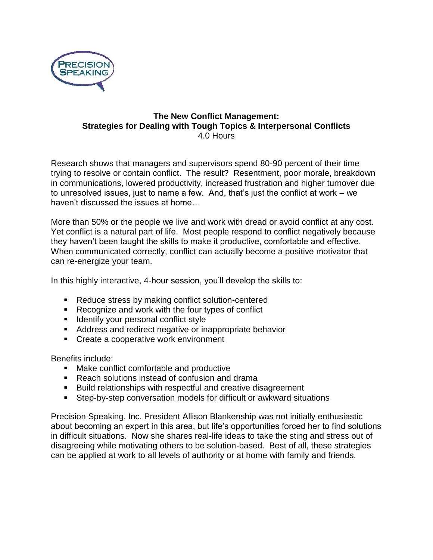

## **The New Conflict Management: Strategies for Dealing with Tough Topics & Interpersonal Conflicts** 4.0 Hours

Research shows that managers and supervisors spend 80-90 percent of their time trying to resolve or contain conflict. The result? Resentment, poor morale, breakdown in communications, lowered productivity, increased frustration and higher turnover due to unresolved issues, just to name a few. And, that's just the conflict at work – we haven't discussed the issues at home…

More than 50% or the people we live and work with dread or avoid conflict at any cost. Yet conflict is a natural part of life. Most people respond to conflict negatively because they haven't been taught the skills to make it productive, comfortable and effective. When communicated correctly, conflict can actually become a positive motivator that can re-energize your team.

In this highly interactive, 4-hour session, you'll develop the skills to:

- Reduce stress by making conflict solution-centered
- Recognize and work with the four types of conflict
- Identify your personal conflict style
- Address and redirect negative or inappropriate behavior
- Create a cooperative work environment

Benefits include:

- Make conflict comfortable and productive
- Reach solutions instead of confusion and drama
- Build relationships with respectful and creative disagreement
- Step-by-step conversation models for difficult or awkward situations

Precision Speaking, Inc. President Allison Blankenship was not initially enthusiastic about becoming an expert in this area, but life's opportunities forced her to find solutions in difficult situations. Now she shares real-life ideas to take the sting and stress out of disagreeing while motivating others to be solution-based. Best of all, these strategies can be applied at work to all levels of authority or at home with family and friends.